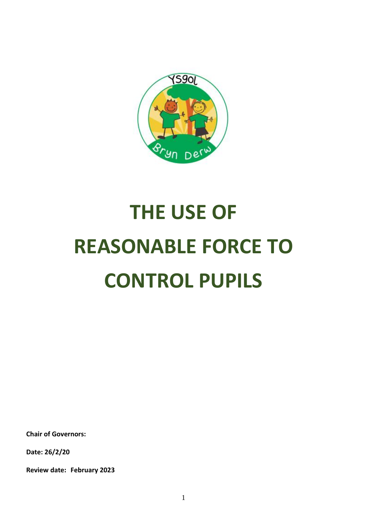

# **THE USE OF REASONABLE FORCE TO CONTROL PUPILS**

**Chair of Governors:**

**Date: 26/2/20**

**Review date: February 2023**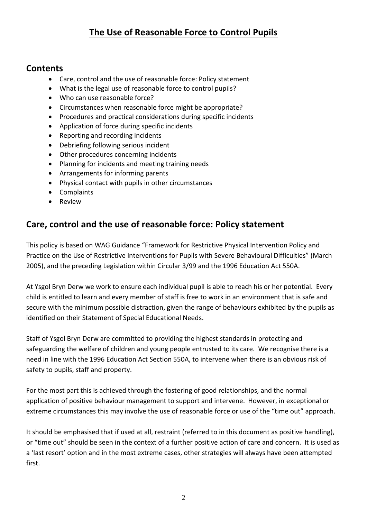# **The Use of Reasonable Force to Control Pupils**

#### **Contents**

- Care, control and the use of reasonable force: Policy statement
- What is the legal use of reasonable force to control pupils?
- Who can use reasonable force?
- Circumstances when reasonable force might be appropriate?
- Procedures and practical considerations during specific incidents
- Application of force during specific incidents
- Reporting and recording incidents
- Debriefing following serious incident
- Other procedures concerning incidents
- Planning for incidents and meeting training needs
- Arrangements for informing parents
- Physical contact with pupils in other circumstances
- Complaints
- Review

#### **Care, control and the use of reasonable force: Policy statement**

This policy is based on WAG Guidance "Framework for Restrictive Physical Intervention Policy and Practice on the Use of Restrictive Interventions for Pupils with Severe Behavioural Difficulties" (March 2005), and the preceding Legislation within Circular 3/99 and the 1996 Education Act 550A.

At Ysgol Bryn Derw we work to ensure each individual pupil is able to reach his or her potential. Every child is entitled to learn and every member of staff is free to work in an environment that is safe and secure with the minimum possible distraction, given the range of behaviours exhibited by the pupils as identified on their Statement of Special Educational Needs.

Staff of Ysgol Bryn Derw are committed to providing the highest standards in protecting and safeguarding the welfare of children and young people entrusted to its care. We recognise there is a need in line with the 1996 Education Act Section 550A, to intervene when there is an obvious risk of safety to pupils, staff and property.

For the most part this is achieved through the fostering of good relationships, and the normal application of positive behaviour management to support and intervene. However, in exceptional or extreme circumstances this may involve the use of reasonable force or use of the "time out" approach.

It should be emphasised that if used at all, restraint (referred to in this document as positive handling), or "time out" should be seen in the context of a further positive action of care and concern. It is used as a 'last resort' option and in the most extreme cases, other strategies will always have been attempted first.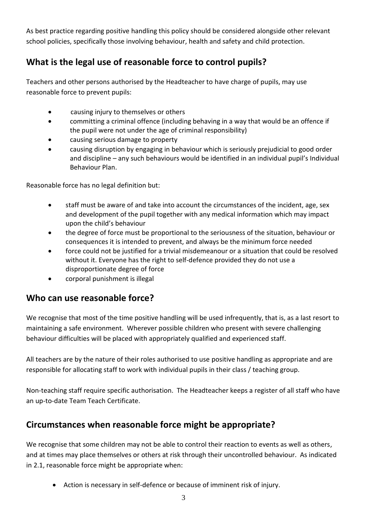As best practice regarding positive handling this policy should be considered alongside other relevant school policies, specifically those involving behaviour, health and safety and child protection.

# **What is the legal use of reasonable force to control pupils?**

Teachers and other persons authorised by the Headteacher to have charge of pupils, may use reasonable force to prevent pupils:

- causing injury to themselves or others
- committing a criminal offence (including behaving in a way that would be an offence if the pupil were not under the age of criminal responsibility)
- causing serious damage to property
- causing disruption by engaging in behaviour which is seriously prejudicial to good order and discipline – any such behaviours would be identified in an individual pupil's Individual Behaviour Plan.

Reasonable force has no legal definition but:

- staff must be aware of and take into account the circumstances of the incident, age, sex and development of the pupil together with any medical information which may impact upon the child's behaviour
- the degree of force must be proportional to the seriousness of the situation, behaviour or consequences it is intended to prevent, and always be the minimum force needed
- force could not be justified for a trivial misdemeanour or a situation that could be resolved without it. Everyone has the right to self-defence provided they do not use a disproportionate degree of force
- corporal punishment is illegal

#### **Who can use reasonable force?**

We recognise that most of the time positive handling will be used infrequently, that is, as a last resort to maintaining a safe environment. Wherever possible children who present with severe challenging behaviour difficulties will be placed with appropriately qualified and experienced staff.

All teachers are by the nature of their roles authorised to use positive handling as appropriate and are responsible for allocating staff to work with individual pupils in their class / teaching group.

Non-teaching staff require specific authorisation. The Headteacher keeps a register of all staff who have an up-to-date Team Teach Certificate.

#### **Circumstances when reasonable force might be appropriate?**

We recognise that some children may not be able to control their reaction to events as well as others, and at times may place themselves or others at risk through their uncontrolled behaviour. As indicated in 2.1, reasonable force might be appropriate when:

Action is necessary in self-defence or because of imminent risk of injury.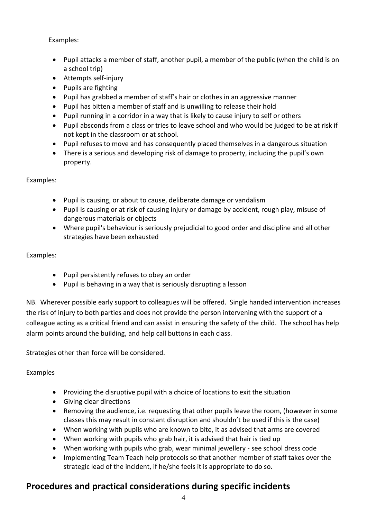Examples:

- Pupil attacks a member of staff, another pupil, a member of the public (when the child is on a school trip)
- Attempts self-injury
- Pupils are fighting
- Pupil has grabbed a member of staff's hair or clothes in an aggressive manner
- Pupil has bitten a member of staff and is unwilling to release their hold
- Pupil running in a corridor in a way that is likely to cause injury to self or others
- Pupil absconds from a class or tries to leave school and who would be judged to be at risk if not kept in the classroom or at school.
- Pupil refuses to move and has consequently placed themselves in a dangerous situation
- There is a serious and developing risk of damage to property, including the pupil's own property.

Examples:

- Pupil is causing, or about to cause, deliberate damage or vandalism
- Pupil is causing or at risk of causing injury or damage by accident, rough play, misuse of dangerous materials or objects
- Where pupil's behaviour is seriously prejudicial to good order and discipline and all other strategies have been exhausted

Examples:

- Pupil persistently refuses to obey an order
- Pupil is behaving in a way that is seriously disrupting a lesson

NB. Wherever possible early support to colleagues will be offered. Single handed intervention increases the risk of injury to both parties and does not provide the person intervening with the support of a colleague acting as a critical friend and can assist in ensuring the safety of the child. The school has help alarm points around the building, and help call buttons in each class.

Strategies other than force will be considered.

#### Examples

- Providing the disruptive pupil with a choice of locations to exit the situation
- **•** Giving clear directions
- Removing the audience, i.e. requesting that other pupils leave the room, (however in some classes this may result in constant disruption and shouldn't be used if this is the case)
- When working with pupils who are known to bite, it as advised that arms are covered
- When working with pupils who grab hair, it is advised that hair is tied up
- When working with pupils who grab, wear minimal jewellery see school dress code
- Implementing Team Teach help protocols so that another member of staff takes over the strategic lead of the incident, if he/she feels it is appropriate to do so.

#### **Procedures and practical considerations during specific incidents**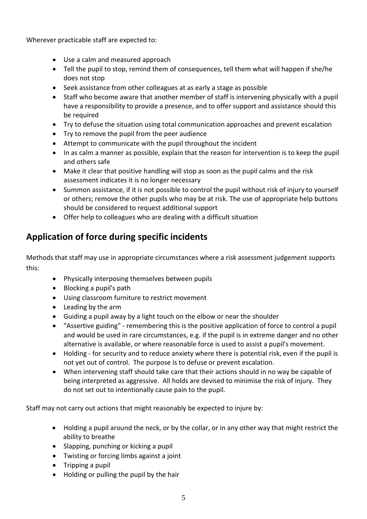Wherever practicable staff are expected to:

- Use a calm and measured approach
- Tell the pupil to stop, remind them of consequences, tell them what will happen if she/he does not stop
- Seek assistance from other colleagues at as early a stage as possible
- Staff who become aware that another member of staff is intervening physically with a pupil have a responsibility to provide a presence, and to offer support and assistance should this be required
- Try to defuse the situation using total communication approaches and prevent escalation
- Try to remove the pupil from the peer audience
- Attempt to communicate with the pupil throughout the incident
- In as calm a manner as possible, explain that the reason for intervention is to keep the pupil and others safe
- Make it clear that positive handling will stop as soon as the pupil calms and the risk assessment indicates it is no longer necessary
- Summon assistance, if it is not possible to control the pupil without risk of injury to yourself or others; remove the other pupils who may be at risk. The use of appropriate help buttons should be considered to request additional support
- Offer help to colleagues who are dealing with a difficult situation

### **Application of force during specific incidents**

Methods that staff may use in appropriate circumstances where a risk assessment judgement supports this:

- Physically interposing themselves between pupils
- Blocking a pupil's path
- Using classroom furniture to restrict movement
- Leading by the arm
- Guiding a pupil away by a light touch on the elbow or near the shoulder
- "Assertive guiding" remembering this is the positive application of force to control a pupil and would be used in rare circumstances, e.g. if the pupil is in extreme danger and no other alternative is available, or where reasonable force is used to assist a pupil's movement.
- Holding for security and to reduce anxiety where there is potential risk, even if the pupil is not yet out of control. The purpose is to defuse or prevent escalation.
- When intervening staff should take care that their actions should in no way be capable of being interpreted as aggressive. All holds are devised to minimise the risk of injury. They do not set out to intentionally cause pain to the pupil.

Staff may not carry out actions that might reasonably be expected to injure by:

- Holding a pupil around the neck, or by the collar, or in any other way that might restrict the ability to breathe
- Slapping, punching or kicking a pupil
- Twisting or forcing limbs against a joint
- Tripping a pupil
- Holding or pulling the pupil by the hair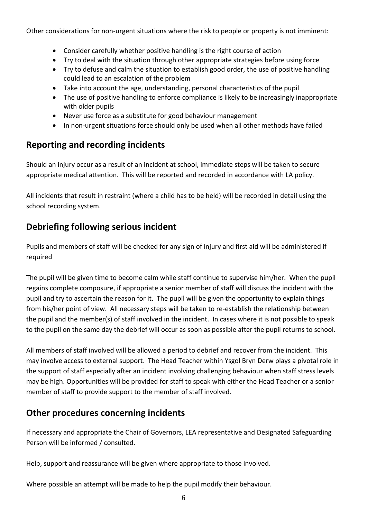Other considerations for non-urgent situations where the risk to people or property is not imminent:

- Consider carefully whether positive handling is the right course of action
- Try to deal with the situation through other appropriate strategies before using force
- Try to defuse and calm the situation to establish good order, the use of positive handling could lead to an escalation of the problem
- Take into account the age, understanding, personal characteristics of the pupil
- The use of positive handling to enforce compliance is likely to be increasingly inappropriate with older pupils
- Never use force as a substitute for good behaviour management
- In non-urgent situations force should only be used when all other methods have failed

#### **Reporting and recording incidents**

Should an injury occur as a result of an incident at school, immediate steps will be taken to secure appropriate medical attention. This will be reported and recorded in accordance with LA policy.

All incidents that result in restraint (where a child has to be held) will be recorded in detail using the school recording system.

# **Debriefing following serious incident**

Pupils and members of staff will be checked for any sign of injury and first aid will be administered if required

The pupil will be given time to become calm while staff continue to supervise him/her. When the pupil regains complete composure, if appropriate a senior member of staff will discuss the incident with the pupil and try to ascertain the reason for it. The pupil will be given the opportunity to explain things from his/her point of view. All necessary steps will be taken to re-establish the relationship between the pupil and the member(s) of staff involved in the incident. In cases where it is not possible to speak to the pupil on the same day the debrief will occur as soon as possible after the pupil returns to school.

All members of staff involved will be allowed a period to debrief and recover from the incident. This may involve access to external support. The Head Teacher within Ysgol Bryn Derw plays a pivotal role in the support of staff especially after an incident involving challenging behaviour when staff stress levels may be high. Opportunities will be provided for staff to speak with either the Head Teacher or a senior member of staff to provide support to the member of staff involved.

#### **Other procedures concerning incidents**

If necessary and appropriate the Chair of Governors, LEA representative and Designated Safeguarding Person will be informed / consulted.

Help, support and reassurance will be given where appropriate to those involved.

Where possible an attempt will be made to help the pupil modify their behaviour.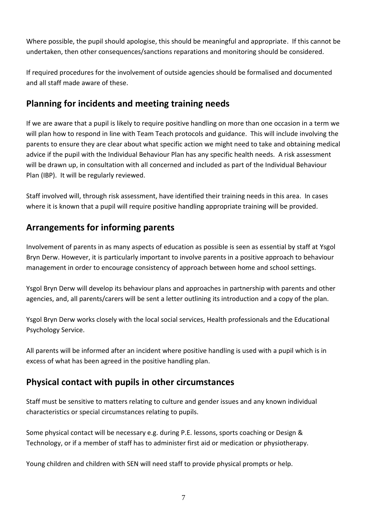Where possible, the pupil should apologise, this should be meaningful and appropriate. If this cannot be undertaken, then other consequences/sanctions reparations and monitoring should be considered.

If required procedures for the involvement of outside agencies should be formalised and documented and all staff made aware of these.

#### **Planning for incidents and meeting training needs**

If we are aware that a pupil is likely to require positive handling on more than one occasion in a term we will plan how to respond in line with Team Teach protocols and guidance. This will include involving the parents to ensure they are clear about what specific action we might need to take and obtaining medical advice if the pupil with the Individual Behaviour Plan has any specific health needs. A risk assessment will be drawn up, in consultation with all concerned and included as part of the Individual Behaviour Plan (IBP). It will be regularly reviewed.

Staff involved will, through risk assessment, have identified their training needs in this area. In cases where it is known that a pupil will require positive handling appropriate training will be provided.

#### **Arrangements for informing parents**

Involvement of parents in as many aspects of education as possible is seen as essential by staff at Ysgol Bryn Derw. However, it is particularly important to involve parents in a positive approach to behaviour management in order to encourage consistency of approach between home and school settings.

Ysgol Bryn Derw will develop its behaviour plans and approaches in partnership with parents and other agencies, and, all parents/carers will be sent a letter outlining its introduction and a copy of the plan.

Ysgol Bryn Derw works closely with the local social services, Health professionals and the Educational Psychology Service.

All parents will be informed after an incident where positive handling is used with a pupil which is in excess of what has been agreed in the positive handling plan.

#### **Physical contact with pupils in other circumstances**

Staff must be sensitive to matters relating to culture and gender issues and any known individual characteristics or special circumstances relating to pupils.

Some physical contact will be necessary e.g. during P.E. lessons, sports coaching or Design & Technology, or if a member of staff has to administer first aid or medication or physiotherapy.

Young children and children with SEN will need staff to provide physical prompts or help.